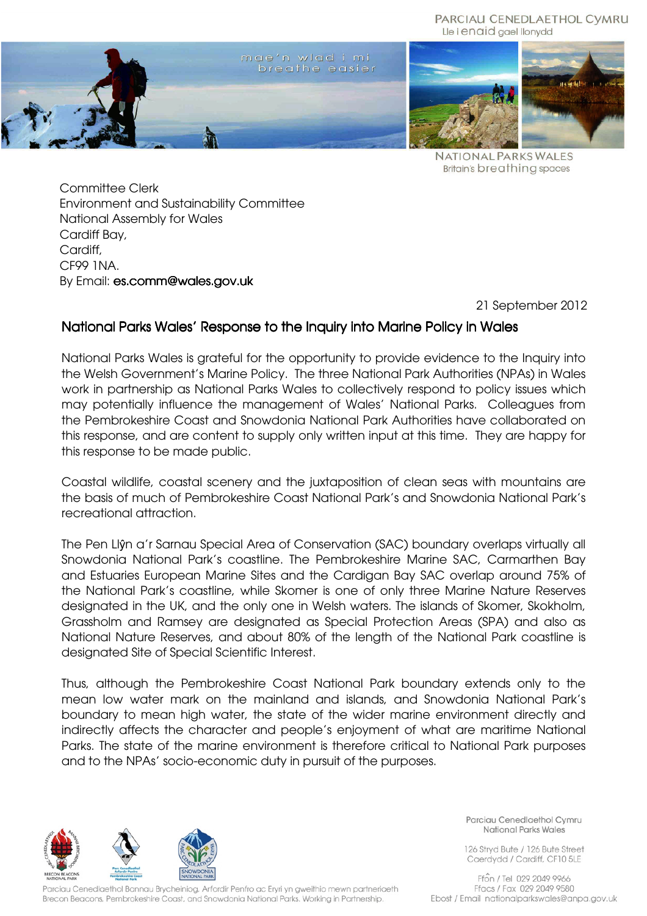#### PARCIAU CENEDLAETHOL CYMRU Lle i enaid gael llonydd



**NATIONAL PARKS WALES Britain's breathing spaces** 

Committee Clerk Environment and Sustainability Committee National Assembly for Wales Cardiff Bay, Cardiff, CF99 1NA. By Email: es.comm@wales.gov.uk

21 September 2012

# National Parks Wales' Response to the Inquiry into Marine Policy in Wales

National Parks Wales is grateful for the opportunity to provide evidence to the Inquiry into the Welsh Government's Marine Policy. The three National Park Authorities (NPAs) in Wales work in partnership as National Parks Wales to collectively respond to policy issues which may potentially influence the management of Wales' National Parks. Colleagues from the Pembrokeshire Coast and Snowdonia National Park Authorities have collaborated on this response, and are content to supply only written input at this time. They are happy for this response to be made public.

Coastal wildlife, coastal scenery and the juxtaposition of clean seas with mountains are the basis of much of Pembrokeshire Coast National Park's and Snowdonia National Park's recreational attraction.

The Pen Llŷn a'r Sarnau Special Area of Conservation (SAC) boundary overlaps virtually all Snowdonia National Park's coastline. The Pembrokeshire Marine SAC, Carmarthen Bay and Estuaries European Marine Sites and the Cardigan Bay SAC overlap around 75% of the National Park's coastline, while Skomer is one of only three Marine Nature Reserves designated in the UK, and the only one in Welsh waters. The islands of Skomer, Skokholm, Grassholm and Ramsey are designated as Special Protection Areas (SPA) and also as National Nature Reserves, and about 80% of the length of the National Park coastline is designated Site of Special Scientific Interest.

Thus, although the Pembrokeshire Coast National Park boundary extends only to the mean low water mark on the mainland and islands, and Snowdonia National Park's boundary to mean high water, the state of the wider marine environment directly and indirectly affects the character and people's enjoyment of what are maritime National Parks. The state of the marine environment is therefore critical to National Park purposes and to the NPAs' socio-economic duty in pursuit of the purposes.



Parciau Cenedlaethol Bannau Brycheiniog, Arfordir Penfro ac Eryri yn gweithio mewn partneriaeth Brecon Beacons, Pembrokeshire Coast, and Snowdonia National Parks. Working in Partnership.

Parciau Cenedlaethol Cymru National Parks Wales

126 Stryd Bute / 126 Bute Street Caerdydd / Cardiff, CF10 5LE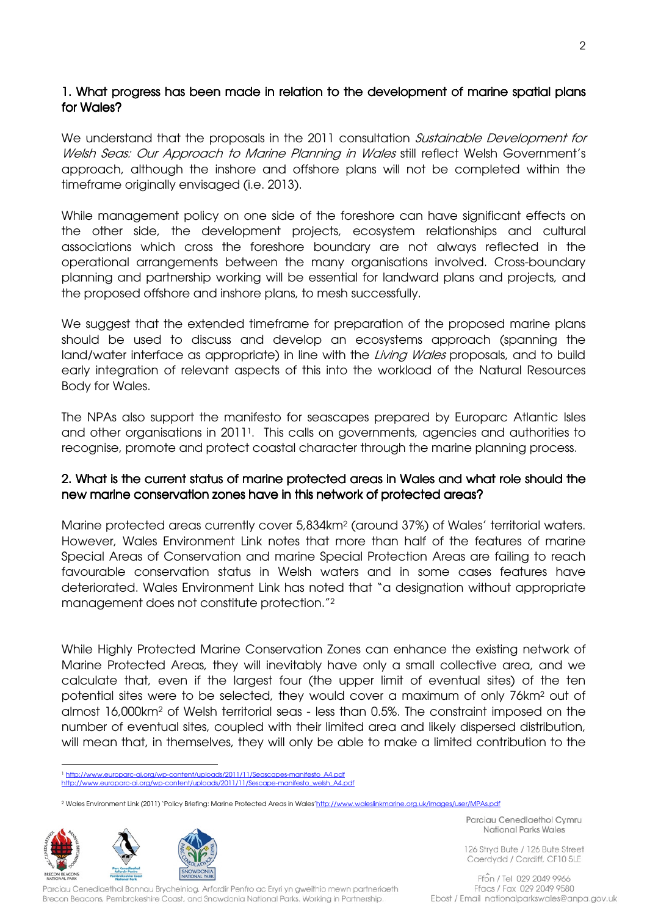### 1. What progress has been made in relation to the development of marine spatial plans for Wales?

We understand that the proposals in the 2011 consultation *Sustainable Development for* Welsh Seas: Our Approach to Marine Planning in Wales still reflect Welsh Government's approach, although the inshore and offshore plans will not be completed within the timeframe originally envisaged (i.e. 2013).

While management policy on one side of the foreshore can have significant effects on the other side, the development projects, ecosystem relationships and cultural associations which cross the foreshore boundary are not always reflected in the operational arrangements between the many organisations involved. Cross-boundary planning and partnership working will be essential for landward plans and projects, and the proposed offshore and inshore plans, to mesh successfully.

We suggest that the extended timeframe for preparation of the proposed marine plans should be used to discuss and develop an ecosystems approach (spanning the land/water interface as appropriate) in line with the *Living Wales* proposals, and to build early integration of relevant aspects of this into the workload of the Natural Resources Body for Wales.

The NPAs also support the manifesto for seascapes prepared by Europarc Atlantic Isles and other organisations in 2011<sup>1</sup>. This calls on governments, agencies and authorities to recognise, promote and protect coastal character through the marine planning process.

### 2. What is the current status of marine protected areas in Wales and what role should the new marine conservation zones have in this network of protected areas?

Marine protected areas currently cover 5,834km<sup>2</sup> (around 37%) of Wales' territorial waters. However, Wales Environment Link notes that more than half of the features of marine Special Areas of Conservation and marine Special Protection Areas are failing to reach favourable conservation status in Welsh waters and in some cases features have deteriorated. Wales Environment Link has noted that "a designation without appropriate management does not constitute protection."<sup>2</sup>

While Highly Protected Marine Conservation Zones can enhance the existing network of Marine Protected Areas, they will inevitably have only a small collective area, and we calculate that, even if the largest four (the upper limit of eventual sites) of the ten potential sites were to be selected, they would cover a maximum of only 76km<sup>2</sup> out of almost 16,000km<sup>2</sup> of Welsh territorial seas - less than 0.5%. The constraint imposed on the number of eventual sites, coupled with their limited area and likely dispersed distribution, will mean that, in themselves, they will only be able to make a limited contribution to the

<sup>1</sup> http://www.europarc-ai.org/wp-content/uploads/2011/11/Seascapes-manifesto\_A4.pdf http://www.europarc-ai.org/wp-content/uploads/2011/11/Sescape-manifesto\_welsh\_A4.pdf

<sup>2</sup> Wales Environment Link (2011) 'Policy Briefing: Marine Protected Areas in Wales'http://www.waleslinkmarine.org.uk/images/user/MPAs.pdf



 $\overline{a}$ 

Parciau Cenedlaethol Bannau Brycheiniog, Arfordir Penfro ac Eryri yn gweithio mewn partneriaeth Brecon Beacons, Pembrokeshire Coast, and Snowdonia National Parks. Working in Partnership.

Parciau Cenedlaethol Cymru National Parks Wales

126 Stryd Bute / 126 Bute Street Caerdydd / Cardiff, CF10 5LE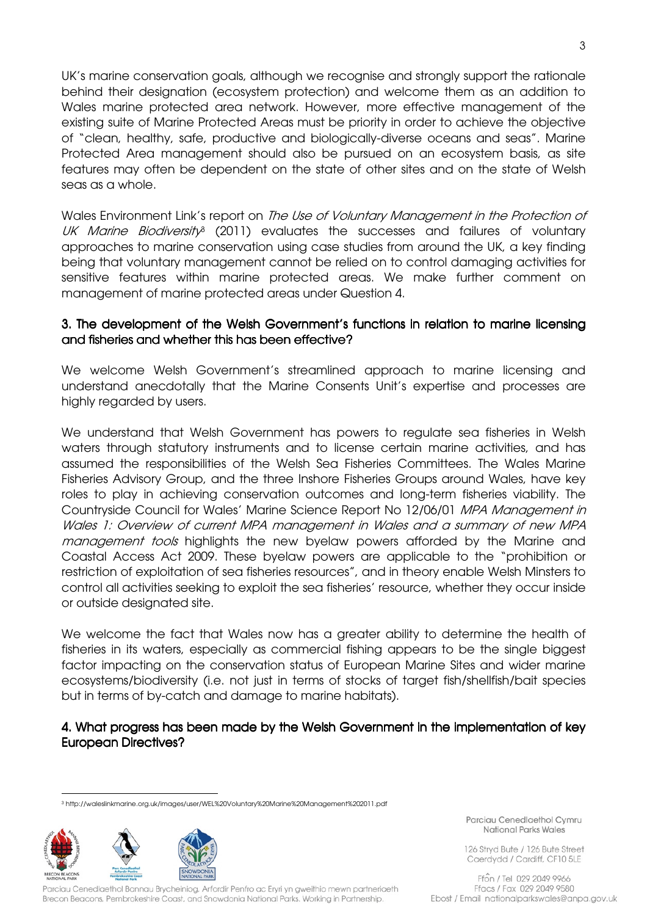UK's marine conservation goals, although we recognise and strongly support the rationale behind their designation (ecosystem protection) and welcome them as an addition to Wales marine protected area network. However, more effective management of the existing suite of Marine Protected Areas must be priority in order to achieve the objective of "clean, healthy, safe, productive and biologically-diverse oceans and seas". Marine Protected Area management should also be pursued on an ecosystem basis, as site features may often be dependent on the state of other sites and on the state of Welsh seas as a whole.

Wales Environment Link's report on *The Use of Voluntary Management in the Protection of* UK Marine Biodiversity<sup>s</sup> (2011) evaluates the successes and failures of voluntary approaches to marine conservation using case studies from around the UK, a key finding being that voluntary management cannot be relied on to control damaging activities for sensitive features within marine protected areas. We make further comment on management of marine protected areas under Question 4.

### 3. The development of the Welsh Government's functions in relation to marine licensing and fisheries and whether this has been effective?

We welcome Welsh Government's streamlined approach to marine licensing and understand anecdotally that the Marine Consents Unit's expertise and processes are highly regarded by users.

We understand that Welsh Government has powers to regulate sea fisheries in Welsh waters through statutory instruments and to license certain marine activities, and has assumed the responsibilities of the Welsh Sea Fisheries Committees. The Wales Marine Fisheries Advisory Group, and the three Inshore Fisheries Groups around Wales, have key roles to play in achieving conservation outcomes and long-term fisheries viability. The Countryside Council for Wales' Marine Science Report No 12/06/01 MPA Management in Wales 1: Overview of current MPA management in Wales and a summary of new MPA management tools highlights the new byelaw powers afforded by the Marine and Coastal Access Act 2009. These byelaw powers are applicable to the "prohibition or restriction of exploitation of sea fisheries resources", and in theory enable Welsh Minsters to control all activities seeking to exploit the sea fisheries' resource, whether they occur inside or outside designated site.

We welcome the fact that Wales now has a greater ability to determine the health of fisheries in its waters, especially as commercial fishing appears to be the single biggest factor impacting on the conservation status of European Marine Sites and wider marine ecosystems/biodiversity (i.e. not just in terms of stocks of target fish/shellfish/bait species but in terms of by-catch and damage to marine habitats).

### 4. What progress has been made by the Welsh Government in the implementation of key European Directives?

<sup>3</sup> http://waleslinkmarine.org.uk/images/user/WEL%20Voluntary%20Marine%20Management%202011.pdf



 $\overline{a}$ 

Parciau Cenedlaethol Bannau Brycheiniog, Arfordir Penfro ac Eryri yn gweithio mewn partneriaeth Brecon Beacons, Pembrokeshire Coast, and Snowdonia National Parks. Working in Partnership.

Parciau Cenediaethol Cymru National Parks Wales

126 Stryd Bute / 126 Bute Street Caerdydd / Cardiff, CF10 5LE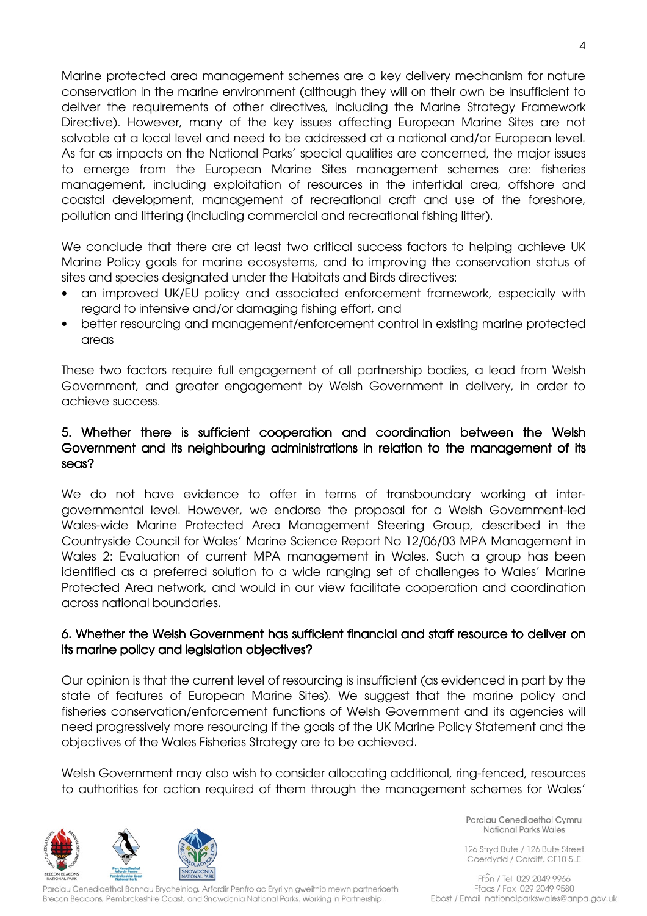Marine protected area management schemes are a key delivery mechanism for nature conservation in the marine environment (although they will on their own be insufficient to deliver the requirements of other directives, including the Marine Strategy Framework Directive). However, many of the key issues affecting European Marine Sites are not solvable at a local level and need to be addressed at a national and/or European level. As far as impacts on the National Parks' special qualities are concerned, the major issues to emerge from the European Marine Sites management schemes are: fisheries management, including exploitation of resources in the intertidal area, offshore and coastal development, management of recreational craft and use of the foreshore, pollution and littering (including commercial and recreational fishing litter).

We conclude that there are at least two critical success factors to helping achieve UK Marine Policy goals for marine ecosystems, and to improving the conservation status of sites and species designated under the Habitats and Birds directives:

- an improved UK/EU policy and associated enforcement framework, especially with regard to intensive and/or damaging fishing effort, and
- better resourcing and management/enforcement control in existing marine protected areas

These two factors require full engagement of all partnership bodies, a lead from Welsh Government, and greater engagement by Welsh Government in delivery, in order to achieve success.

# 5. Whether there is sufficient cooperation and coordination between the Welsh Government and its neighbouring administrations in relation to the management of its seas?

We do not have evidence to offer in terms of transboundary working at intergovernmental level. However, we endorse the proposal for a Welsh Government-led Wales-wide Marine Protected Area Management Steering Group, described in the Countryside Council for Wales' Marine Science Report No 12/06/03 MPA Management in Wales 2: Evaluation of current MPA management in Wales. Such a group has been identified as a preferred solution to a wide ranging set of challenges to Wales' Marine Protected Area network, and would in our view facilitate cooperation and coordination across national boundaries.

### 6. Whether the Welsh Government has sufficient financial and staff resource to deliver on its marine policy and legislation objectives?

Our opinion is that the current level of resourcing is insufficient (as evidenced in part by the state of features of European Marine Sites). We suggest that the marine policy and fisheries conservation/enforcement functions of Welsh Government and its agencies will need progressively more resourcing if the goals of the UK Marine Policy Statement and the objectives of the Wales Fisheries Strategy are to be achieved.

Welsh Government may also wish to consider allocating additional, ring-fenced, resources to authorities for action required of them through the management schemes for Wales'



Parciau Cenedlaethol Bannau Brycheiniog, Arfordir Penfro ac Eryri yn gweithio mewn partneriaeth Brecon Beacons, Pembrokeshire Coast, and Snowdonia National Parks. Working in Partnership.

Parciau Cenedlaethol Cymru National Parks Wales

126 Stryd Bute / 126 Bute Street Caerdydd / Cardiff, CF10 5LE